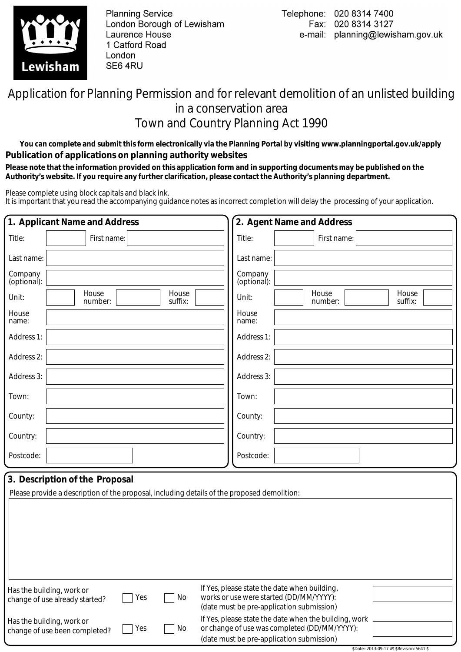

**Planning Service** London Borough of Lewisham Laurence House 1 Catford Road London SE64RU

\$Date:: 2013-09-17 #\$ \$Revision: 5641 \$

## Application for Planning Permission and for relevant demolition of an unlisted building in a conservation area Town and Country Planning Act 1990

**You can complete and submit this form electronically via the Planning Portal by visiting www.planningportal.gov.uk/apply Publication of applications on planning authority websites** 

 **Please note that the information provided on this application form and in supporting documents may be published on the Authority's website. If you require any further clarification, please contact the Authority's planning department.**

Please complete using block capitals and black ink.

It is important that you read the accompanying guidance notes as incorrect completion will delay the processing of your application.

|                        | 1. Applicant Name and Address                                                                                                 |     |                  | 2. Agent Name and Address                                                                                                                          |                  |                  |  |
|------------------------|-------------------------------------------------------------------------------------------------------------------------------|-----|------------------|----------------------------------------------------------------------------------------------------------------------------------------------------|------------------|------------------|--|
| Title:                 | First name:                                                                                                                   |     |                  | Title:                                                                                                                                             | First name:      |                  |  |
| Last name:             |                                                                                                                               |     |                  | Last name:                                                                                                                                         |                  |                  |  |
| Company<br>(optional): |                                                                                                                               |     |                  | Company<br>(optional):                                                                                                                             |                  |                  |  |
| Unit:                  | House<br>number:                                                                                                              |     | House<br>suffix: | Unit:                                                                                                                                              | House<br>number: | House<br>suffix: |  |
| House<br>name:         |                                                                                                                               |     |                  | House<br>name:                                                                                                                                     |                  |                  |  |
| Address 1:             |                                                                                                                               |     |                  | Address 1:                                                                                                                                         |                  |                  |  |
| Address 2:             |                                                                                                                               |     |                  | Address 2:                                                                                                                                         |                  |                  |  |
| Address 3:             |                                                                                                                               |     |                  | Address 3:                                                                                                                                         |                  |                  |  |
| Town:                  |                                                                                                                               |     |                  | Town:                                                                                                                                              |                  |                  |  |
| County:                |                                                                                                                               |     |                  | County:                                                                                                                                            |                  |                  |  |
| Country:               |                                                                                                                               |     |                  | Country:                                                                                                                                           |                  |                  |  |
| Postcode:              |                                                                                                                               |     |                  | Postcode:                                                                                                                                          |                  |                  |  |
|                        | 3. Description of the Proposal<br>Please provide a description of the proposal, including details of the proposed demolition: |     |                  |                                                                                                                                                    |                  |                  |  |
|                        | Has the building, work or<br>change of use already started?                                                                   | Yes | No               | If Yes, please state the date when building,<br>works or use were started (DD/MM/YYYY):<br>(date must be pre-application submission)               |                  |                  |  |
|                        | Has the building, work or<br>change of use been completed?                                                                    | Yes | No               | If Yes, please state the date when the building, work<br>or change of use was completed (DD/MM/YYYY):<br>(date must be pre-application submission) |                  |                  |  |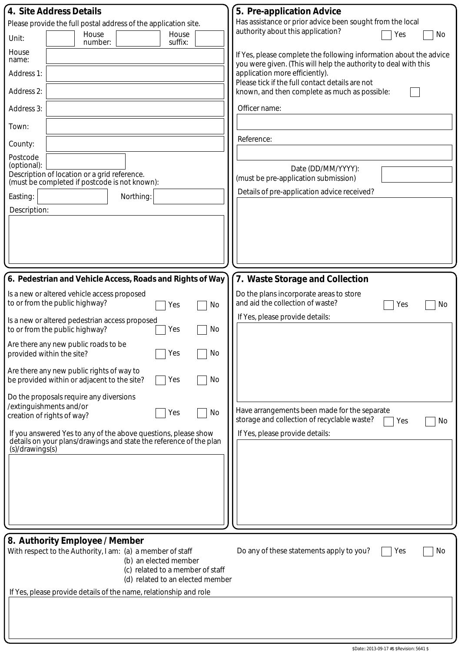|                         | 4. Site Address Details                                                                                                              |                                  | 5. Pre-application Advice                                                                                                             |
|-------------------------|--------------------------------------------------------------------------------------------------------------------------------------|----------------------------------|---------------------------------------------------------------------------------------------------------------------------------------|
|                         | Please provide the full postal address of the application site.                                                                      |                                  | Has assistance or prior advice been sought from the local                                                                             |
| Unit:                   | House<br>number:                                                                                                                     | House<br>suffix:                 | authority about this application?<br>Yes<br>No                                                                                        |
| House<br>name:          |                                                                                                                                      |                                  | If Yes, please complete the following information about the advice<br>you were given. (This will help the authority to deal with this |
| Address 1:              |                                                                                                                                      |                                  | application more efficiently).<br>Please tick if the full contact details are not                                                     |
| Address 2:              |                                                                                                                                      |                                  | known, and then complete as much as possible:                                                                                         |
| Address 3:              |                                                                                                                                      |                                  | Officer name:                                                                                                                         |
| Town:                   |                                                                                                                                      |                                  |                                                                                                                                       |
| County:                 |                                                                                                                                      |                                  | Reference:                                                                                                                            |
| Postcode<br>(optional): |                                                                                                                                      |                                  |                                                                                                                                       |
|                         | Description of location or a grid reference.<br>(must be completed if postcode is not known):                                        |                                  | Date (DD/MM/YYYY):<br>(must be pre-application submission)                                                                            |
| Easting:                | Northing:                                                                                                                            |                                  | Details of pre-application advice received?                                                                                           |
| Description:            |                                                                                                                                      |                                  |                                                                                                                                       |
|                         |                                                                                                                                      |                                  |                                                                                                                                       |
|                         |                                                                                                                                      |                                  |                                                                                                                                       |
|                         |                                                                                                                                      |                                  |                                                                                                                                       |
|                         |                                                                                                                                      |                                  |                                                                                                                                       |
|                         | 6. Pedestrian and Vehicle Access, Roads and Rights of Way                                                                            |                                  | 7. Waste Storage and Collection                                                                                                       |
|                         | Is a new or altered vehicle access proposed<br>to or from the public highway?                                                        | No<br>Yes                        | Do the plans incorporate areas to store<br>and aid the collection of waste?<br>Yes<br>No                                              |
|                         | Is a new or altered pedestrian access proposed<br>to or from the public highway?                                                     | No<br>Yes                        | If Yes, please provide details:                                                                                                       |
|                         | Are there any new public roads to be                                                                                                 |                                  |                                                                                                                                       |
|                         | $\Box$ Yes<br>provided within the site?                                                                                              | No                               |                                                                                                                                       |
|                         | Are there any new public rights of way to<br>be provided within or adjacent to the site?                                             | No<br>Yes                        |                                                                                                                                       |
|                         | Do the proposals require any diversions                                                                                              |                                  |                                                                                                                                       |
|                         | /extinguishments and/or<br>creation of rights of way?                                                                                | No<br>Yes                        | Have arrangements been made for the separate                                                                                          |
|                         |                                                                                                                                      |                                  | storage and collection of recyclable waste?<br>Yes<br>No                                                                              |
| (s)/drawings(s)         | If you answered Yes to any of the above questions, please show<br>details on your plans/drawings and state the reference of the plan |                                  | If Yes, please provide details:                                                                                                       |
|                         |                                                                                                                                      |                                  |                                                                                                                                       |
|                         |                                                                                                                                      |                                  |                                                                                                                                       |
|                         |                                                                                                                                      |                                  |                                                                                                                                       |
|                         |                                                                                                                                      |                                  |                                                                                                                                       |
|                         |                                                                                                                                      |                                  |                                                                                                                                       |
|                         | 8. Authority Employee / Member                                                                                                       |                                  |                                                                                                                                       |
|                         | With respect to the Authority, I am: (a) a member of staff<br>(b) an elected member                                                  |                                  | Do any of these statements apply to you?<br>No<br>Yes                                                                                 |
|                         |                                                                                                                                      | (c) related to a member of staff |                                                                                                                                       |
|                         | If Yes, please provide details of the name, relationship and role                                                                    | (d) related to an elected member |                                                                                                                                       |
|                         |                                                                                                                                      |                                  |                                                                                                                                       |
|                         |                                                                                                                                      |                                  |                                                                                                                                       |
|                         |                                                                                                                                      |                                  |                                                                                                                                       |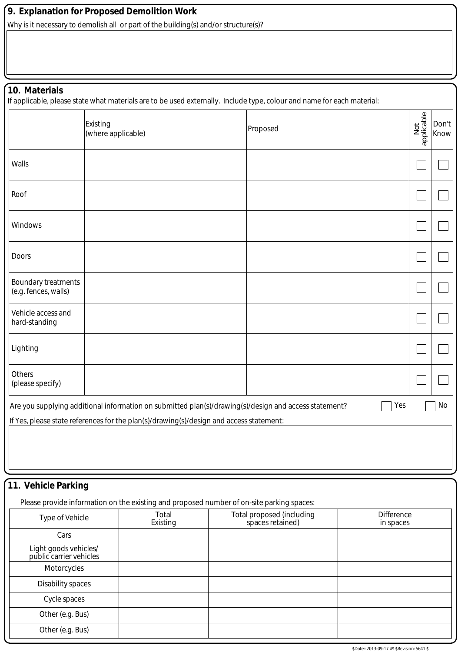## **9. Explanation for Proposed Demolition Work**

Why is it necessary to demolish all or part of the building(s) and/or structure(s)?

## **10. Materials**

If applicable, please state what materials are to be used externally. Include type, colour and name for each material:

|                                                    | Existing<br>(where applicable)                                                                                                                                                                   | Proposed | Not<br>applicable | Don't<br>Know |
|----------------------------------------------------|--------------------------------------------------------------------------------------------------------------------------------------------------------------------------------------------------|----------|-------------------|---------------|
| Walls                                              |                                                                                                                                                                                                  |          |                   |               |
| Roof                                               |                                                                                                                                                                                                  |          |                   |               |
| Windows                                            |                                                                                                                                                                                                  |          |                   |               |
| Doors                                              |                                                                                                                                                                                                  |          |                   |               |
| <b>Boundary treatments</b><br>(e.g. fences, walls) |                                                                                                                                                                                                  |          |                   |               |
| Vehicle access and<br>hard-standing                |                                                                                                                                                                                                  |          |                   |               |
| Lighting                                           |                                                                                                                                                                                                  |          |                   |               |
| Others<br>(please specify)                         |                                                                                                                                                                                                  |          |                   |               |
|                                                    | Are you supplying additional information on submitted plan(s)/drawing(s)/design and access statement?<br>If Yes, please state references for the plan(s)/drawing(s)/design and access statement: | Yes      |                   | No            |
|                                                    |                                                                                                                                                                                                  |          |                   |               |

## **11. Vehicle Parking**

Please provide information on the existing and proposed number of on-site parking spaces:

| Type of Vehicle                                  | Total<br>Existing | Total proposed (including<br>spaces retained) | <b>Difference</b><br>in spaces |
|--------------------------------------------------|-------------------|-----------------------------------------------|--------------------------------|
| Cars                                             |                   |                                               |                                |
| Light goods vehicles/<br>public carrier vehicles |                   |                                               |                                |
| Motorcycles                                      |                   |                                               |                                |
| Disability spaces                                |                   |                                               |                                |
| Cycle spaces                                     |                   |                                               |                                |
| Other (e.g. Bus)                                 |                   |                                               |                                |
| Other (e.g. Bus)                                 |                   |                                               |                                |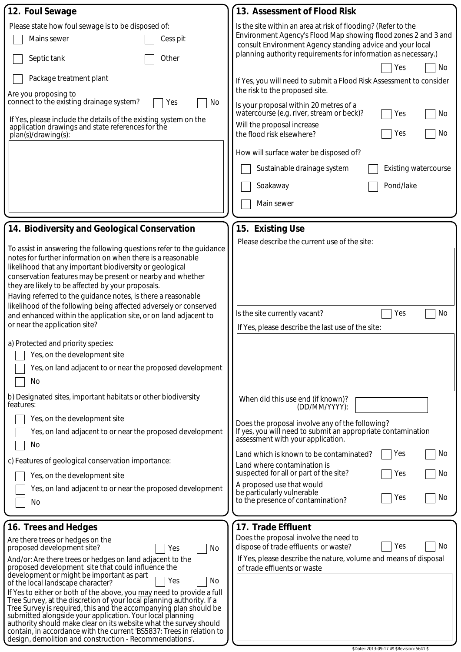| 12. Foul Sewage                                                                                                                                                                                                                                                                                                                                                                                                                                                                                                                                                                                                                                                                                                                                                                                                    | 13. Assessment of Flood Risk                                                                                                                                                                                                                                                                                                                                                                                                                                                                                                                                                                                                                                                                      |
|--------------------------------------------------------------------------------------------------------------------------------------------------------------------------------------------------------------------------------------------------------------------------------------------------------------------------------------------------------------------------------------------------------------------------------------------------------------------------------------------------------------------------------------------------------------------------------------------------------------------------------------------------------------------------------------------------------------------------------------------------------------------------------------------------------------------|---------------------------------------------------------------------------------------------------------------------------------------------------------------------------------------------------------------------------------------------------------------------------------------------------------------------------------------------------------------------------------------------------------------------------------------------------------------------------------------------------------------------------------------------------------------------------------------------------------------------------------------------------------------------------------------------------|
| Please state how foul sewage is to be disposed of:<br>Mains sewer<br>Cess pit<br>Other<br>Septic tank<br>Package treatment plant<br>Are you proposing to<br>connect to the existing drainage system?<br>No<br>Yes<br>If Yes, please include the details of the existing system on the<br>application drawings and state references for the<br>plan(s)/drawing(s):                                                                                                                                                                                                                                                                                                                                                                                                                                                  | Is the site within an area at risk of flooding? (Refer to the<br>Environment Agency's Flood Map showing flood zones 2 and 3 and<br>consult Environment Agency standing advice and your local<br>planning authority requirements for information as necessary.)<br>No<br>Yes<br>If Yes, you will need to submit a Flood Risk Assessment to consider<br>the risk to the proposed site.<br>Is your proposal within 20 metres of a<br>watercourse (e.g. river, stream or beck)?<br>No<br>Yes<br>Will the proposal increase<br>No<br>the flood risk elsewhere?<br>Yes<br>How will surface water be disposed of?<br>Sustainable drainage system<br><b>Existing watercourse</b><br>Pond/lake<br>Soakaway |
|                                                                                                                                                                                                                                                                                                                                                                                                                                                                                                                                                                                                                                                                                                                                                                                                                    | Main sewer                                                                                                                                                                                                                                                                                                                                                                                                                                                                                                                                                                                                                                                                                        |
| 14. Biodiversity and Geological Conservation<br>To assist in answering the following questions refer to the guidance<br>notes for further information on when there is a reasonable<br>likelihood that any important biodiversity or geological<br>conservation features may be present or nearby and whether<br>they are likely to be affected by your proposals.<br>Having referred to the guidance notes, is there a reasonable<br>likelihood of the following being affected adversely or conserved<br>and enhanced within the application site, or on land adjacent to<br>or near the application site?<br>a) Protected and priority species:<br>Yes, on the development site                                                                                                                                 | 15. Existing Use<br>Please describe the current use of the site:<br>No<br>Yes<br>Is the site currently vacant?<br>If Yes, please describe the last use of the site:                                                                                                                                                                                                                                                                                                                                                                                                                                                                                                                               |
| Yes, on land adjacent to or near the proposed development<br>No<br>b) Designated sites, important habitats or other biodiversity                                                                                                                                                                                                                                                                                                                                                                                                                                                                                                                                                                                                                                                                                   | When did this use end (if known)?                                                                                                                                                                                                                                                                                                                                                                                                                                                                                                                                                                                                                                                                 |
| features:<br>Yes, on the development site<br>Yes, on land adjacent to or near the proposed development<br>No<br>c) Features of geological conservation importance:<br>Yes, on the development site<br>Yes, on land adjacent to or near the proposed development<br>No                                                                                                                                                                                                                                                                                                                                                                                                                                                                                                                                              | (DD/MM/YYYY):<br>Does the proposal involve any of the following?<br>If yes, you will need to submit an appropriate contamination<br>assessment with your application.<br>No<br>Land which is known to be contaminated?<br>Yes<br>Land where contamination is<br>suspected for all or part of the site?<br>Yes<br>No<br>A proposed use that would<br>be particularly vulnerable<br>Yes<br>No<br>to the presence of contamination?                                                                                                                                                                                                                                                                  |
| 16. Trees and Hedges<br>Are there trees or hedges on the<br>proposed development site?<br>No<br>Yes<br>And/or: Are there trees or hedges on land adjacent to the<br>proposed development site that could influence the<br>development or might be important as part<br>No<br>Yes<br>of the local landscape character?<br>If Yes to either or both of the above, you may need to provide a full<br>Tree Survey, at the discretion of your local planning authority. If a<br>Tree Survey is required, this and the accompanying plan should be<br>submitted alongside your application. Your local planning<br>authority should make clear on its website what the survey should<br>contain, in accordance with the current 'BS5837: Trees in relation to<br>design, demolition and construction - Recommendations'. | 17. Trade Effluent<br>Does the proposal involve the need to<br>No<br>Yes<br>dispose of trade effluents or waste?<br>If Yes, please describe the nature, volume and means of disposal<br>of trade effluents or waste                                                                                                                                                                                                                                                                                                                                                                                                                                                                               |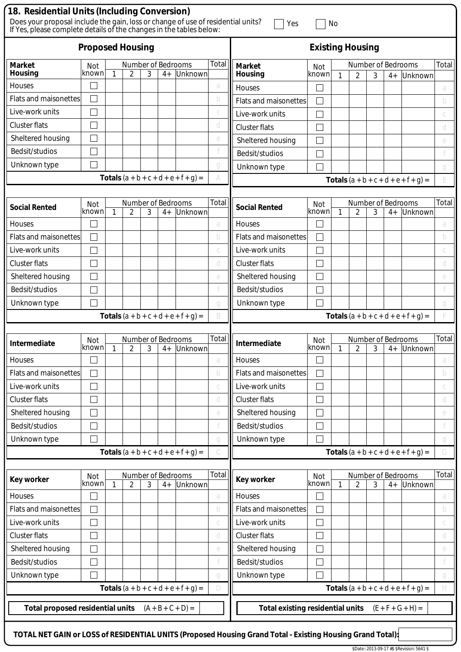| 18. Residential Units (Including Conversion)<br>Does your proposal include the gain, loss or change of use of residential units?<br>Yes<br>If Yes, please complete details of the changes in the tables below: |              |   |                |   |                            |                                               |        | No                                            |                             |              |                |   |                            |                                               |        |
|----------------------------------------------------------------------------------------------------------------------------------------------------------------------------------------------------------------|--------------|---|----------------|---|----------------------------|-----------------------------------------------|--------|-----------------------------------------------|-----------------------------|--------------|----------------|---|----------------------------|-----------------------------------------------|--------|
| <b>Proposed Housing</b>                                                                                                                                                                                        |              |   |                |   |                            | <b>Existing Housing</b>                       |        |                                               |                             |              |                |   |                            |                                               |        |
| <b>Market</b>                                                                                                                                                                                                  | Not          |   |                |   | Number of Bedrooms         |                                               | Total  | <b>Market</b>                                 | Not                         |              |                |   | Number of Bedrooms         |                                               | Total  |
| Housing                                                                                                                                                                                                        | known        | 1 | $\overline{2}$ | 3 | $4+$                       | Unknown                                       |        | <b>Housing</b>                                | lknown                      | 1            | $\overline{2}$ | 3 | $4+$                       | Unknown                                       |        |
| Houses                                                                                                                                                                                                         |              |   |                |   |                            |                                               | a      | <b>Houses</b>                                 |                             |              |                |   |                            |                                               | a      |
| <b>Flats and maisonettes</b>                                                                                                                                                                                   |              |   |                |   |                            |                                               | b      | <b>Flats and maisonettes</b>                  | $\mathcal{L}$               |              |                |   |                            |                                               | b      |
| Live-work units                                                                                                                                                                                                |              |   |                |   |                            |                                               |        | Live-work units                               | Ξ                           |              |                |   |                            |                                               |        |
| <b>Cluster flats</b>                                                                                                                                                                                           |              |   |                |   |                            |                                               | d      | <b>Cluster flats</b>                          |                             |              |                |   |                            |                                               | d      |
| Sheltered housing                                                                                                                                                                                              |              |   |                |   |                            |                                               | e      | Sheltered housing                             |                             |              |                |   |                            |                                               | e      |
| Bedsit/studios                                                                                                                                                                                                 |              |   |                |   |                            |                                               |        | Bedsit/studios                                |                             |              |                |   |                            |                                               |        |
| Unknown type                                                                                                                                                                                                   |              |   |                |   |                            |                                               | q      | Unknown type                                  |                             |              |                |   |                            |                                               | q      |
|                                                                                                                                                                                                                |              |   |                |   |                            | <b>Totals</b> $(a + b + c + d + e + f + g) =$ |        |                                               |                             |              |                |   |                            | <b>Totals</b> $(a + b + c + d + e + f + g) =$ |        |
|                                                                                                                                                                                                                |              |   |                |   |                            |                                               |        |                                               |                             |              |                |   |                            |                                               |        |
| <b>Social Rented</b>                                                                                                                                                                                           | Not<br>known | 1 | $\overline{2}$ | 3 | Number of Bedrooms<br>$4+$ | Unknown                                       | Total  | <b>Social Rented</b>                          | Not<br>lknown               | $\mathbf{1}$ | $\overline{2}$ | 3 | Number of Bedrooms<br>$4+$ | Unknown                                       | Total  |
| <b>Houses</b>                                                                                                                                                                                                  |              |   |                |   |                            |                                               | a      | <b>Houses</b>                                 |                             |              |                |   |                            |                                               | a      |
| <b>Flats and maisonettes</b>                                                                                                                                                                                   |              |   |                |   |                            |                                               | b      | <b>Flats and maisonettes</b>                  |                             |              |                |   |                            |                                               | b      |
| Live-work units                                                                                                                                                                                                |              |   |                |   |                            |                                               |        | Live-work units                               | Ξ                           |              |                |   |                            |                                               | C      |
| <b>Cluster flats</b>                                                                                                                                                                                           |              |   |                |   |                            |                                               | d      | <b>Cluster flats</b>                          | J.                          |              |                |   |                            |                                               | a      |
| Sheltered housing                                                                                                                                                                                              |              |   |                |   |                            |                                               | e      | Sheltered housing                             | $\sim$                      |              |                |   |                            |                                               | e      |
| Bedsit/studios                                                                                                                                                                                                 |              |   |                |   |                            |                                               |        | Bedsit/studios                                | Ξ                           |              |                |   |                            |                                               |        |
|                                                                                                                                                                                                                |              |   |                |   |                            |                                               |        |                                               |                             |              |                |   |                            |                                               |        |
| Unknown type                                                                                                                                                                                                   |              |   |                |   |                            |                                               | a<br>B | Unknown type                                  |                             |              |                |   |                            |                                               | a      |
|                                                                                                                                                                                                                |              |   |                |   |                            | <b>Totals</b> $(a + b + c + d + e + f + g) =$ |        |                                               |                             |              |                |   |                            | <b>Totals</b> $(a + b + c + d + e + f + g) =$ |        |
| Intermediate                                                                                                                                                                                                   | Not          |   |                |   | Number of Bedrooms         |                                               | Total  | Intermediate                                  | Not                         |              |                |   | Number of Bedrooms         |                                               | Total  |
|                                                                                                                                                                                                                | known        | 1 | 2              | 3 | $4+$                       | Unknown                                       |        |                                               | known                       | 1            | 2              | 3 |                            | 4+ Unknown                                    |        |
| Houses                                                                                                                                                                                                         |              |   |                |   |                            |                                               | a      | Houses                                        |                             |              |                |   |                            |                                               | a      |
| <b>Flats and maisonettes</b>                                                                                                                                                                                   |              |   |                |   |                            |                                               | b      | <b>Flats and maisonettes</b>                  |                             |              |                |   |                            |                                               | b      |
| Live-work units                                                                                                                                                                                                |              |   |                |   |                            |                                               |        | Live-work units                               | $\mathcal{L}_{\mathcal{A}}$ |              |                |   |                            |                                               | C      |
| <b>Cluster flats</b>                                                                                                                                                                                           |              |   |                |   |                            |                                               | d      | <b>Cluster flats</b>                          |                             |              |                |   |                            |                                               | d      |
| Sheltered housing                                                                                                                                                                                              |              |   |                |   |                            |                                               | e      | Sheltered housing                             | Ξ                           |              |                |   |                            |                                               | e      |
| Bedsit/studios                                                                                                                                                                                                 |              |   |                |   |                            |                                               |        | Bedsit/studios                                | $\overline{\phantom{0}}$    |              |                |   |                            |                                               |        |
| Unknown type                                                                                                                                                                                                   |              |   |                |   |                            |                                               | g      | Unknown type                                  | $\sim$                      |              |                |   |                            |                                               | g      |
|                                                                                                                                                                                                                |              |   |                |   |                            | <b>Totals</b> $(a + b + c + d + e + f + g) =$ |        | <b>Totals</b> $(a + b + c + d + e + f + g) =$ |                             |              |                | G |                            |                                               |        |
| <b>Key worker</b>                                                                                                                                                                                              | Not          |   |                |   | Number of Bedrooms         |                                               | Total  | <b>Key worker</b>                             | Not                         |              |                |   | Number of Bedrooms         |                                               | Total  |
|                                                                                                                                                                                                                | known        | 1 | 2              | 3 | $4+$                       | Unknown                                       |        |                                               | lknown                      | 1            | 2              | 3 | $4+$                       | Unknown                                       |        |
| Houses<br><b>Flats and maisonettes</b>                                                                                                                                                                         |              |   |                |   |                            |                                               | a<br>b | Houses<br><b>Flats and maisonettes</b>        | Ξ<br>$\Box$                 |              |                |   |                            |                                               | a<br>b |
| Live-work units                                                                                                                                                                                                |              |   |                |   |                            |                                               |        | Live-work units                               |                             |              |                |   |                            |                                               |        |
|                                                                                                                                                                                                                |              |   |                |   |                            |                                               | C      |                                               | $\mathcal{L}$               |              |                |   |                            |                                               | C      |
| <b>Cluster flats</b>                                                                                                                                                                                           |              |   |                |   |                            |                                               | d      | <b>Cluster flats</b>                          | Ξ                           |              |                |   |                            |                                               | d      |
| Sheltered housing                                                                                                                                                                                              |              |   |                |   |                            |                                               | e      | Sheltered housing                             | $\mathcal{L}_{\mathcal{A}}$ |              |                |   |                            |                                               | e      |
| Bedsit/studios                                                                                                                                                                                                 |              |   |                |   |                            |                                               |        | Bedsit/studios                                |                             |              |                |   |                            |                                               |        |
| Unknown type                                                                                                                                                                                                   |              |   |                |   |                            |                                               | g      | Unknown type                                  |                             |              |                |   |                            |                                               | g      |
|                                                                                                                                                                                                                |              |   |                |   |                            | <b>Totals</b> $(a + b + c + d + e + f + g) =$ | $\Box$ |                                               |                             |              |                |   |                            | <b>Totals</b> $(a + b + c + d + e + f + g) =$ | H      |
| <b>Total proposed residential units</b>                                                                                                                                                                        |              |   |                |   |                            | $(A + B + C + D) =$                           |        | <b>Total existing residential units</b>       |                             |              |                |   |                            | $(E + F + G + H) =$                           |        |
| TOTAL NET GAIN or LOSS of RESIDENTIAL UNITS (Proposed Housing Grand Total - Existing Housing Grand Total):                                                                                                     |              |   |                |   |                            |                                               |        |                                               |                             |              |                |   |                            |                                               |        |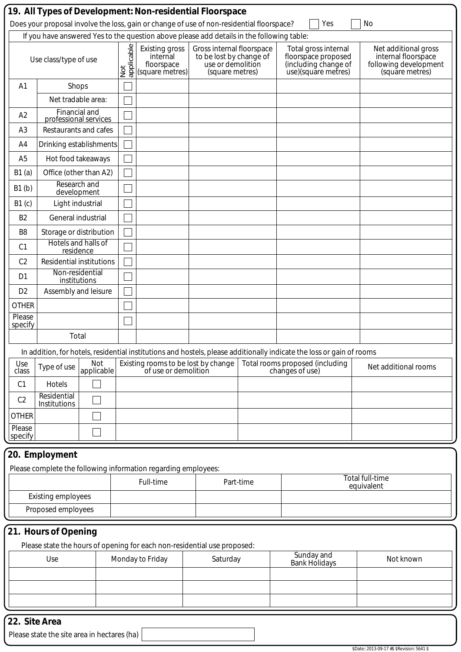|                           |                                        |                   |                   | If you have answered Yes to the question above please add details in the following table: | Does your proposal involve the loss, gain or change of use of non-residential floorspace?    |           | Yes                                                                                                                   | No                                                                                      |  |
|---------------------------|----------------------------------------|-------------------|-------------------|-------------------------------------------------------------------------------------------|----------------------------------------------------------------------------------------------|-----------|-----------------------------------------------------------------------------------------------------------------------|-----------------------------------------------------------------------------------------|--|
|                           | Use class/type of use                  |                   | Not<br>applicable | <b>Existing gross</b><br>internal<br>floorspace<br>(square metres)                        | Gross internal floorspace<br>to be lost by change of<br>use or demolition<br>(square metres) |           | Total gross internal<br>floorspace proposed<br>(including change of<br>use)(square metres)                            | Net additional gross<br>internal floorspace<br>following development<br>(square metres) |  |
| A <sub>1</sub>            | Shops                                  |                   |                   |                                                                                           |                                                                                              |           |                                                                                                                       |                                                                                         |  |
|                           | Net tradable area:                     |                   |                   |                                                                                           |                                                                                              |           |                                                                                                                       |                                                                                         |  |
| A2                        | Financial and<br>professional services |                   |                   |                                                                                           |                                                                                              |           |                                                                                                                       |                                                                                         |  |
| A <sub>3</sub>            | Restaurants and cafes                  |                   |                   |                                                                                           |                                                                                              |           |                                                                                                                       |                                                                                         |  |
| A4                        | Drinking establishments                |                   |                   |                                                                                           |                                                                                              |           |                                                                                                                       |                                                                                         |  |
| A <sub>5</sub>            | Hot food takeaways                     |                   |                   |                                                                                           |                                                                                              |           |                                                                                                                       |                                                                                         |  |
| B1(a)                     | Office (other than A2)                 |                   |                   |                                                                                           |                                                                                              |           |                                                                                                                       |                                                                                         |  |
| B1(b)                     | Research and<br>development            |                   |                   |                                                                                           |                                                                                              |           |                                                                                                                       |                                                                                         |  |
| B1(c)                     | Light industrial                       |                   |                   |                                                                                           |                                                                                              |           |                                                                                                                       |                                                                                         |  |
| B <sub>2</sub>            | General industrial                     |                   |                   |                                                                                           |                                                                                              |           |                                                                                                                       |                                                                                         |  |
| B <sub>8</sub>            | Storage or distribution                |                   |                   |                                                                                           |                                                                                              |           |                                                                                                                       |                                                                                         |  |
| C <sub>1</sub>            | Hotels and halls of<br>residence       |                   |                   |                                                                                           |                                                                                              |           |                                                                                                                       |                                                                                         |  |
| C <sub>2</sub>            | <b>Residential institutions</b>        |                   |                   |                                                                                           |                                                                                              |           |                                                                                                                       |                                                                                         |  |
| D <sub>1</sub>            | Non-residential                        |                   |                   |                                                                                           |                                                                                              |           |                                                                                                                       |                                                                                         |  |
| D <sub>2</sub>            | institutions<br>Assembly and leisure   |                   |                   |                                                                                           |                                                                                              |           |                                                                                                                       |                                                                                         |  |
| <b>OTHER</b>              |                                        |                   |                   |                                                                                           |                                                                                              |           |                                                                                                                       |                                                                                         |  |
| Please                    |                                        |                   |                   |                                                                                           |                                                                                              |           |                                                                                                                       |                                                                                         |  |
| specify                   | Total                                  |                   |                   |                                                                                           |                                                                                              |           |                                                                                                                       |                                                                                         |  |
|                           |                                        |                   |                   |                                                                                           |                                                                                              |           | In addition, for hotels, residential institutions and hostels, please additionally indicate the loss or gain of rooms |                                                                                         |  |
| Use<br>class              | Type of use                            | Not<br>applicable |                   | Existing rooms to be lost by change<br>of use or demolition                               |                                                                                              |           | Total rooms proposed (including<br>changes of use)                                                                    | Net additional rooms                                                                    |  |
| C <sub>1</sub>            | Hotels                                 |                   |                   |                                                                                           |                                                                                              |           |                                                                                                                       |                                                                                         |  |
| C <sub>2</sub>            | Residential<br>Institutions            |                   |                   |                                                                                           |                                                                                              |           |                                                                                                                       |                                                                                         |  |
| <b>OTHER</b>              |                                        |                   |                   |                                                                                           |                                                                                              |           |                                                                                                                       |                                                                                         |  |
| Please                    |                                        |                   |                   |                                                                                           |                                                                                              |           |                                                                                                                       |                                                                                         |  |
| specify                   |                                        |                   |                   |                                                                                           |                                                                                              |           |                                                                                                                       |                                                                                         |  |
|                           | 20. Employment                         |                   |                   |                                                                                           |                                                                                              |           |                                                                                                                       |                                                                                         |  |
|                           |                                        |                   |                   | Please complete the following information regarding employees:                            |                                                                                              |           |                                                                                                                       |                                                                                         |  |
|                           |                                        |                   |                   | Full-time                                                                                 |                                                                                              | Part-time |                                                                                                                       | Total full-time<br>equivalent                                                           |  |
| <b>Existing employees</b> |                                        |                   |                   |                                                                                           |                                                                                              |           |                                                                                                                       |                                                                                         |  |
|                           | Proposed employees                     |                   |                   |                                                                                           |                                                                                              |           |                                                                                                                       |                                                                                         |  |
|                           | 21. Hours of Opening                   |                   |                   |                                                                                           |                                                                                              |           |                                                                                                                       |                                                                                         |  |
|                           |                                        |                   |                   | Please state the hours of opening for each non-residential use proposed:                  |                                                                                              |           |                                                                                                                       |                                                                                         |  |
| Use                       |                                        |                   |                   | Monday to Friday                                                                          | Saturday                                                                                     |           | Sunday and<br><b>Bank Holidays</b>                                                                                    | Not known                                                                               |  |
|                           |                                        |                   |                   |                                                                                           |                                                                                              |           |                                                                                                                       |                                                                                         |  |
|                           |                                        |                   |                   |                                                                                           |                                                                                              |           |                                                                                                                       |                                                                                         |  |
|                           |                                        |                   |                   |                                                                                           |                                                                                              |           |                                                                                                                       |                                                                                         |  |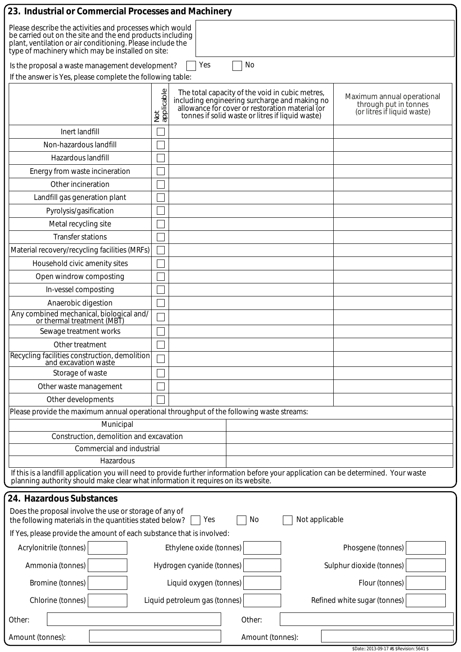| 23. Industrial or Commercial Processes and Machinery                                                                                                                                                                                     |                   |                                                                                                                                                                                                         |                  |                |                                                                                    |  |  |  |
|------------------------------------------------------------------------------------------------------------------------------------------------------------------------------------------------------------------------------------------|-------------------|---------------------------------------------------------------------------------------------------------------------------------------------------------------------------------------------------------|------------------|----------------|------------------------------------------------------------------------------------|--|--|--|
| Please describe the activities and processes which would<br>be carried out on the site and the end products including<br>plant, ventilation or air conditioning. Please include the<br>type of machinery which may be installed on site: |                   |                                                                                                                                                                                                         |                  |                |                                                                                    |  |  |  |
| Yes<br>No<br>Is the proposal a waste management development?                                                                                                                                                                             |                   |                                                                                                                                                                                                         |                  |                |                                                                                    |  |  |  |
| If the answer is Yes, please complete the following table:                                                                                                                                                                               |                   |                                                                                                                                                                                                         |                  |                |                                                                                    |  |  |  |
|                                                                                                                                                                                                                                          | Not<br>applicable | The total capacity of the void in cubic metres,<br>including engineering surcharge and making no<br>allowance for cover or restoration material (or<br>tonnes if solid waste or litres if liquid waste) |                  |                | Maximum annual operational<br>through put in tonnes<br>(or litres if liquid waste) |  |  |  |
| Inert landfill                                                                                                                                                                                                                           |                   |                                                                                                                                                                                                         |                  |                |                                                                                    |  |  |  |
| Non-hazardous landfill                                                                                                                                                                                                                   |                   |                                                                                                                                                                                                         |                  |                |                                                                                    |  |  |  |
| Hazardous landfill                                                                                                                                                                                                                       |                   |                                                                                                                                                                                                         |                  |                |                                                                                    |  |  |  |
| Energy from waste incineration                                                                                                                                                                                                           |                   |                                                                                                                                                                                                         |                  |                |                                                                                    |  |  |  |
| Other incineration                                                                                                                                                                                                                       |                   |                                                                                                                                                                                                         |                  |                |                                                                                    |  |  |  |
| Landfill gas generation plant                                                                                                                                                                                                            |                   |                                                                                                                                                                                                         |                  |                |                                                                                    |  |  |  |
| Pyrolysis/gasification                                                                                                                                                                                                                   |                   |                                                                                                                                                                                                         |                  |                |                                                                                    |  |  |  |
| Metal recycling site                                                                                                                                                                                                                     |                   |                                                                                                                                                                                                         |                  |                |                                                                                    |  |  |  |
| <b>Transfer stations</b>                                                                                                                                                                                                                 |                   |                                                                                                                                                                                                         |                  |                |                                                                                    |  |  |  |
| Material recovery/recycling facilities (MRFs)                                                                                                                                                                                            |                   |                                                                                                                                                                                                         |                  |                |                                                                                    |  |  |  |
| Household civic amenity sites                                                                                                                                                                                                            |                   |                                                                                                                                                                                                         |                  |                |                                                                                    |  |  |  |
| Open windrow composting                                                                                                                                                                                                                  |                   |                                                                                                                                                                                                         |                  |                |                                                                                    |  |  |  |
| In-vessel composting                                                                                                                                                                                                                     |                   |                                                                                                                                                                                                         |                  |                |                                                                                    |  |  |  |
| Anaerobic digestion                                                                                                                                                                                                                      |                   |                                                                                                                                                                                                         |                  |                |                                                                                    |  |  |  |
| Any combined mechanical, biological and/<br>or thermal treatment (MBT)                                                                                                                                                                   |                   |                                                                                                                                                                                                         |                  |                |                                                                                    |  |  |  |
| Sewage treatment works                                                                                                                                                                                                                   |                   |                                                                                                                                                                                                         |                  |                |                                                                                    |  |  |  |
| Other treatment                                                                                                                                                                                                                          |                   |                                                                                                                                                                                                         |                  |                |                                                                                    |  |  |  |
| Recycling facilities construction, demolition<br>and excavation waste                                                                                                                                                                    |                   |                                                                                                                                                                                                         |                  |                |                                                                                    |  |  |  |
| Storage of waste                                                                                                                                                                                                                         |                   |                                                                                                                                                                                                         |                  |                |                                                                                    |  |  |  |
| Other waste management                                                                                                                                                                                                                   |                   |                                                                                                                                                                                                         |                  |                |                                                                                    |  |  |  |
| Other developments                                                                                                                                                                                                                       |                   |                                                                                                                                                                                                         |                  |                |                                                                                    |  |  |  |
| Please provide the maximum annual operational throughput of the following waste streams:                                                                                                                                                 |                   |                                                                                                                                                                                                         |                  |                |                                                                                    |  |  |  |
| Municipal                                                                                                                                                                                                                                |                   |                                                                                                                                                                                                         |                  |                |                                                                                    |  |  |  |
| Construction, demolition and excavation<br>Commercial and industrial                                                                                                                                                                     |                   |                                                                                                                                                                                                         |                  |                |                                                                                    |  |  |  |
| Hazardous                                                                                                                                                                                                                                |                   |                                                                                                                                                                                                         |                  |                |                                                                                    |  |  |  |
| If this is a landfill application you will need to provide further information before your application can be determined. Your waste<br>planning authority should make clear what information it requires on its website.                |                   |                                                                                                                                                                                                         |                  |                |                                                                                    |  |  |  |
| 24. Hazardous Substances                                                                                                                                                                                                                 |                   |                                                                                                                                                                                                         |                  |                |                                                                                    |  |  |  |
| Does the proposal involve the use or storage of any of<br>the following materials in the quantities stated below?                                                                                                                        |                   | Yes                                                                                                                                                                                                     | No               | Not applicable |                                                                                    |  |  |  |
| If Yes, please provide the amount of each substance that is involved:                                                                                                                                                                    |                   |                                                                                                                                                                                                         |                  |                |                                                                                    |  |  |  |
| Acrylonitrile (tonnes)                                                                                                                                                                                                                   |                   | Ethylene oxide (tonnes)                                                                                                                                                                                 |                  |                | Phosgene (tonnes)                                                                  |  |  |  |
| Ammonia (tonnes)                                                                                                                                                                                                                         |                   | Hydrogen cyanide (tonnes)                                                                                                                                                                               |                  |                | Sulphur dioxide (tonnes)                                                           |  |  |  |
| Bromine (tonnes)                                                                                                                                                                                                                         |                   | Liquid oxygen (tonnes)                                                                                                                                                                                  |                  |                | Flour (tonnes)                                                                     |  |  |  |
| Chlorine (tonnes)                                                                                                                                                                                                                        |                   | Liquid petroleum gas (tonnes)                                                                                                                                                                           |                  |                | Refined white sugar (tonnes)                                                       |  |  |  |
| Other:                                                                                                                                                                                                                                   |                   |                                                                                                                                                                                                         | Other:           |                |                                                                                    |  |  |  |
| Amount (tonnes):                                                                                                                                                                                                                         |                   |                                                                                                                                                                                                         | Amount (tonnes): |                |                                                                                    |  |  |  |
|                                                                                                                                                                                                                                          |                   |                                                                                                                                                                                                         |                  |                | \$Date:: 2013-09-17 #\$ \$Revision: 5641 \$                                        |  |  |  |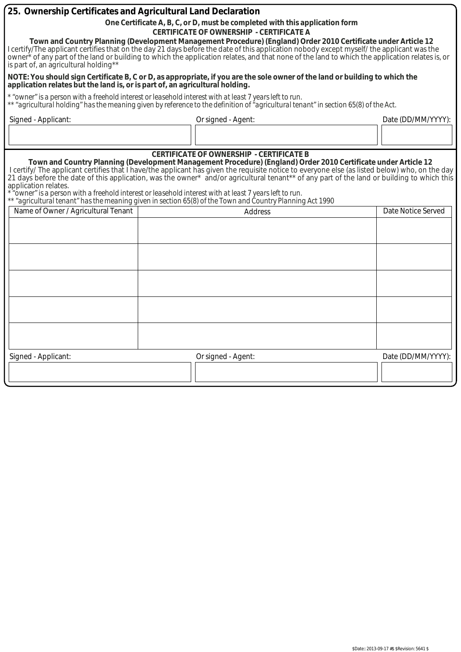| 25. Ownership Certificates and Agricultural Land Declaration                                                                                                                                                                                                                                                                                                                                                                                            |                                                                                                                                                                                                                                                                                                                                                                                                                                                                                                                        |                    |  |  |  |  |  |  |
|---------------------------------------------------------------------------------------------------------------------------------------------------------------------------------------------------------------------------------------------------------------------------------------------------------------------------------------------------------------------------------------------------------------------------------------------------------|------------------------------------------------------------------------------------------------------------------------------------------------------------------------------------------------------------------------------------------------------------------------------------------------------------------------------------------------------------------------------------------------------------------------------------------------------------------------------------------------------------------------|--------------------|--|--|--|--|--|--|
|                                                                                                                                                                                                                                                                                                                                                                                                                                                         | One Certificate A, B, C, or D, must be completed with this application form                                                                                                                                                                                                                                                                                                                                                                                                                                            |                    |  |  |  |  |  |  |
| <b>CERTIFICATE OF OWNERSHIP - CERTIFICATE A</b>                                                                                                                                                                                                                                                                                                                                                                                                         |                                                                                                                                                                                                                                                                                                                                                                                                                                                                                                                        |                    |  |  |  |  |  |  |
| Town and Country Planning (Development Management Procedure) (England) Order 2010 Certificate under Article 12<br>I certify/The applicant certifies that on the day 21 days before the date of this application nobody except myself/ the applicant was the<br>owner * of any part of the land or building to which the application relates, and that none of the land to which the application relates is, or<br>is part of, an agricultural holding** |                                                                                                                                                                                                                                                                                                                                                                                                                                                                                                                        |                    |  |  |  |  |  |  |
| application relates but the land is, or is part of, an agricultural holding.                                                                                                                                                                                                                                                                                                                                                                            | NOTE: You should sign Certificate B, C or D, as appropriate, if you are the sole owner of the land or building to which the                                                                                                                                                                                                                                                                                                                                                                                            |                    |  |  |  |  |  |  |
|                                                                                                                                                                                                                                                                                                                                                                                                                                                         | * "owner" is a person with a freehold interest or leasehold interest with at least 7 years left to run.<br>** "agricultural holding" has the meaning given by reference to the definition of "agricultural tenant" in section 65(8) of the Act.                                                                                                                                                                                                                                                                        |                    |  |  |  |  |  |  |
| Signed - Applicant:                                                                                                                                                                                                                                                                                                                                                                                                                                     | Or signed - Agent:                                                                                                                                                                                                                                                                                                                                                                                                                                                                                                     | Date (DD/MM/YYYY): |  |  |  |  |  |  |
|                                                                                                                                                                                                                                                                                                                                                                                                                                                         |                                                                                                                                                                                                                                                                                                                                                                                                                                                                                                                        |                    |  |  |  |  |  |  |
|                                                                                                                                                                                                                                                                                                                                                                                                                                                         | <b>CERTIFICATE OF OWNERSHIP - CERTIFICATE B</b>                                                                                                                                                                                                                                                                                                                                                                                                                                                                        |                    |  |  |  |  |  |  |
| application relates.                                                                                                                                                                                                                                                                                                                                                                                                                                    | Town and Country Planning (Development Management Procedure) (England) Order 2010 Certificate under Article 12<br>I certify/ The applicant certifies that I have/the applicant has given the requisite notice to everyone else (as listed below) who, on the day<br>21 days before the date of this application, was the owner* and/or agricultural tenant** of any part of the land or building to which this<br>owner" is a person with a freehold interest or leasehold interest with at least 7 years left to run" |                    |  |  |  |  |  |  |
|                                                                                                                                                                                                                                                                                                                                                                                                                                                         | ** "agricultural tenant" has the meaning given in section 65(8) of the Town and Country Planning Act 1990                                                                                                                                                                                                                                                                                                                                                                                                              | Date Notice Served |  |  |  |  |  |  |
| Name of Owner / Agricultural Tenant                                                                                                                                                                                                                                                                                                                                                                                                                     | Address                                                                                                                                                                                                                                                                                                                                                                                                                                                                                                                |                    |  |  |  |  |  |  |
|                                                                                                                                                                                                                                                                                                                                                                                                                                                         |                                                                                                                                                                                                                                                                                                                                                                                                                                                                                                                        |                    |  |  |  |  |  |  |
|                                                                                                                                                                                                                                                                                                                                                                                                                                                         |                                                                                                                                                                                                                                                                                                                                                                                                                                                                                                                        |                    |  |  |  |  |  |  |
|                                                                                                                                                                                                                                                                                                                                                                                                                                                         |                                                                                                                                                                                                                                                                                                                                                                                                                                                                                                                        |                    |  |  |  |  |  |  |
|                                                                                                                                                                                                                                                                                                                                                                                                                                                         |                                                                                                                                                                                                                                                                                                                                                                                                                                                                                                                        |                    |  |  |  |  |  |  |
|                                                                                                                                                                                                                                                                                                                                                                                                                                                         |                                                                                                                                                                                                                                                                                                                                                                                                                                                                                                                        |                    |  |  |  |  |  |  |
|                                                                                                                                                                                                                                                                                                                                                                                                                                                         |                                                                                                                                                                                                                                                                                                                                                                                                                                                                                                                        |                    |  |  |  |  |  |  |
|                                                                                                                                                                                                                                                                                                                                                                                                                                                         |                                                                                                                                                                                                                                                                                                                                                                                                                                                                                                                        |                    |  |  |  |  |  |  |
|                                                                                                                                                                                                                                                                                                                                                                                                                                                         |                                                                                                                                                                                                                                                                                                                                                                                                                                                                                                                        |                    |  |  |  |  |  |  |
| Signed - Applicant:                                                                                                                                                                                                                                                                                                                                                                                                                                     | Or signed - Agent:                                                                                                                                                                                                                                                                                                                                                                                                                                                                                                     | Date (DD/MM/YYYY): |  |  |  |  |  |  |
|                                                                                                                                                                                                                                                                                                                                                                                                                                                         |                                                                                                                                                                                                                                                                                                                                                                                                                                                                                                                        |                    |  |  |  |  |  |  |
|                                                                                                                                                                                                                                                                                                                                                                                                                                                         |                                                                                                                                                                                                                                                                                                                                                                                                                                                                                                                        |                    |  |  |  |  |  |  |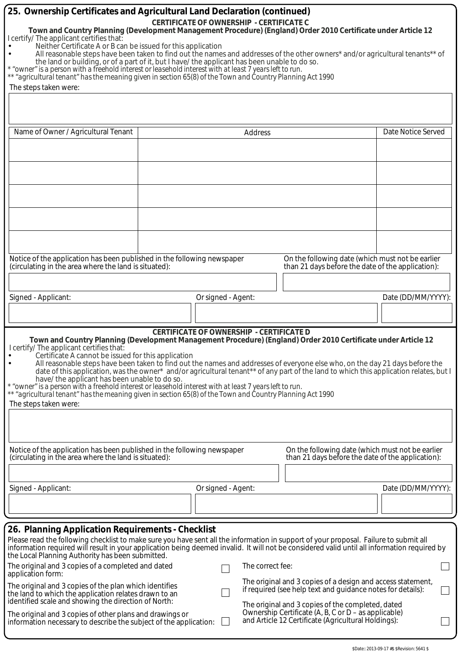| 25. Ownership Certificates and Agricultural Land Declaration (continued)<br>Town and Country Planning (Development Management Procedure) (England) Order 2010 Certificate under Article 12<br>I certify/ The applicant certifies that:<br>Neither Certificate A or B can be issued for this application<br>All reasonable steps have been taken to find out the names and addresses of the other owners* and/or agricultural tenants** of<br>the land or building, or of a part of it, but I have/ the applicant has been unable to do so.<br>* "owner" is a person with a freehold interest or leasehold interest with at least 7 years left to run.<br>** "agricultural tenant" has the meaning given in section 65(8) of the Town and Country Planning Act 1990<br>The steps taken were:   | <b>CERTIFICATE OF OWNERSHIP - CERTIFICATE C</b> |                  |                                                                                                                                                                                 |                    |
|-----------------------------------------------------------------------------------------------------------------------------------------------------------------------------------------------------------------------------------------------------------------------------------------------------------------------------------------------------------------------------------------------------------------------------------------------------------------------------------------------------------------------------------------------------------------------------------------------------------------------------------------------------------------------------------------------------------------------------------------------------------------------------------------------|-------------------------------------------------|------------------|---------------------------------------------------------------------------------------------------------------------------------------------------------------------------------|--------------------|
| Name of Owner / Agricultural Tenant                                                                                                                                                                                                                                                                                                                                                                                                                                                                                                                                                                                                                                                                                                                                                           |                                                 | Address          |                                                                                                                                                                                 | Date Notice Served |
|                                                                                                                                                                                                                                                                                                                                                                                                                                                                                                                                                                                                                                                                                                                                                                                               |                                                 |                  |                                                                                                                                                                                 |                    |
|                                                                                                                                                                                                                                                                                                                                                                                                                                                                                                                                                                                                                                                                                                                                                                                               |                                                 |                  |                                                                                                                                                                                 |                    |
|                                                                                                                                                                                                                                                                                                                                                                                                                                                                                                                                                                                                                                                                                                                                                                                               |                                                 |                  |                                                                                                                                                                                 |                    |
| Notice of the application has been published in the following newspaper<br>(circulating in the area where the land is situated):                                                                                                                                                                                                                                                                                                                                                                                                                                                                                                                                                                                                                                                              |                                                 |                  | On the following date (which must not be earlier<br>than 21 days before the date of the application):                                                                           |                    |
|                                                                                                                                                                                                                                                                                                                                                                                                                                                                                                                                                                                                                                                                                                                                                                                               |                                                 |                  |                                                                                                                                                                                 |                    |
| Signed - Applicant:                                                                                                                                                                                                                                                                                                                                                                                                                                                                                                                                                                                                                                                                                                                                                                           | Or signed - Agent:                              |                  |                                                                                                                                                                                 | Date (DD/MM/YYYY): |
|                                                                                                                                                                                                                                                                                                                                                                                                                                                                                                                                                                                                                                                                                                                                                                                               |                                                 |                  |                                                                                                                                                                                 |                    |
| Town and Country Planning (Development Management Procedure) (England) Order 2010 Certificate under Article 12<br>I certify/ The applicant certifies that:<br>Certificate A cannot be issued for this application<br>All reasonable steps have been taken to find out the names and addresses of everyone else who, on the day 21 days before the<br>date of this application, was the owner* and/or agricultural tenant** of any part of the land to which this application relates, but I<br>have/ the applicant has been unable to do so.<br>* "owner" is a person with a freehold interest or leasehold interest with at least 7 years left to run.<br>** "agricultural tenant" has the meaning given in section 65(8) of the Town and Country Planning Act 1990<br>The steps taken were: | <b>CERTIFICATE OF OWNERSHIP - CERTIFICATE D</b> |                  |                                                                                                                                                                                 |                    |
| Notice of the application has been published in the following newspaper<br>(circulating in the area where the land is situated):                                                                                                                                                                                                                                                                                                                                                                                                                                                                                                                                                                                                                                                              |                                                 |                  | On the following date (which must not be earlier<br>than 21 days before the date of the application):                                                                           |                    |
|                                                                                                                                                                                                                                                                                                                                                                                                                                                                                                                                                                                                                                                                                                                                                                                               |                                                 |                  |                                                                                                                                                                                 |                    |
| Signed - Applicant:                                                                                                                                                                                                                                                                                                                                                                                                                                                                                                                                                                                                                                                                                                                                                                           | Or signed - Agent:                              |                  |                                                                                                                                                                                 | Date (DD/MM/YYYY): |
|                                                                                                                                                                                                                                                                                                                                                                                                                                                                                                                                                                                                                                                                                                                                                                                               |                                                 |                  |                                                                                                                                                                                 |                    |
|                                                                                                                                                                                                                                                                                                                                                                                                                                                                                                                                                                                                                                                                                                                                                                                               |                                                 |                  |                                                                                                                                                                                 |                    |
| 26. Planning Application Requirements - Checklist<br>Please read the following checklist to make sure you have sent all the information in support of your proposal. Failure to submit all<br>information required will result in your application being deemed invalid. It will not be considered valid until all information required by<br>the Local Planning Authority has been submitted.                                                                                                                                                                                                                                                                                                                                                                                                |                                                 |                  |                                                                                                                                                                                 |                    |
| The original and 3 copies of a completed and dated<br>application form:                                                                                                                                                                                                                                                                                                                                                                                                                                                                                                                                                                                                                                                                                                                       |                                                 | The correct fee: |                                                                                                                                                                                 |                    |
| The original and 3 copies of the plan which identifies<br>the land to which the application relates drawn to an<br>identified scale and showing the direction of North:                                                                                                                                                                                                                                                                                                                                                                                                                                                                                                                                                                                                                       |                                                 |                  | The original and 3 copies of a design and access statement,<br>if required (see help text and guidance notes for details):<br>The original and 3 copies of the completed, dated |                    |
| The original and 3 copies of other plans and drawings or<br>information necessary to describe the subject of the application:                                                                                                                                                                                                                                                                                                                                                                                                                                                                                                                                                                                                                                                                 |                                                 |                  | Ownership Certificate (A, B, C or $D$ – as applicable)<br>and Article 12 Certificate (Agricultural Holdings):                                                                   |                    |